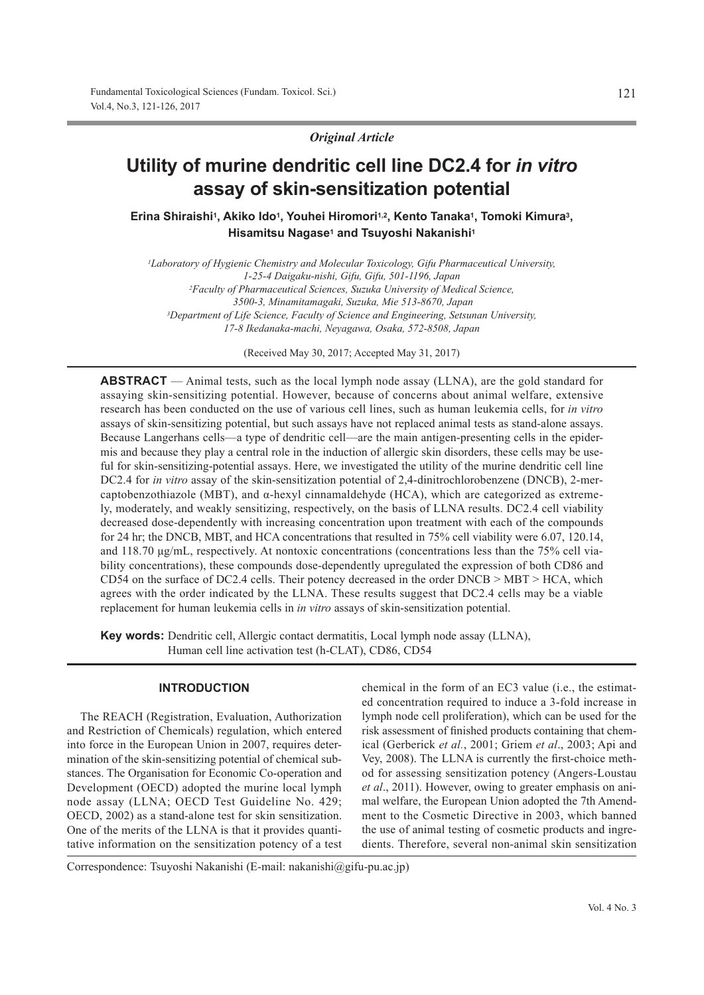*Original Article*

# **Utility of murine dendritic cell line DC2.4 for** *in vitro* **assay of skin-sensitization potential**

Erina Shiraishi<sup>1</sup>, Akiko Ido<sup>1</sup>, Youhei Hiromori<sup>1,2</sup>, Kento Tanaka<sup>1</sup>, Tomoki Kimura<sup>3</sup>, **Hisamitsu Nagase1 and Tsuyoshi Nakanishi1**

*1Laboratory of Hygienic Chemistry and Molecular Toxicology, Gifu Pharmaceutical University, 1-25-4 Daigaku-nishi, Gifu, Gifu, 501-1196, Japan 2Faculty of Pharmaceutical Sciences, Suzuka University of Medical Science, 3500-3, Minamitamagaki, Suzuka, Mie 513-8670, Japan 3Department of Life Science, Faculty of Science and Engineering, Setsunan University, 17-8 Ikedanaka-machi, Neyagawa, Osaka, 572-8508, Japan*

(Received May 30, 2017; Accepted May 31, 2017)

**ABSTRACT** — Animal tests, such as the local lymph node assay (LLNA), are the gold standard for assaying skin-sensitizing potential. However, because of concerns about animal welfare, extensive research has been conducted on the use of various cell lines, such as human leukemia cells, for *in vitro* assays of skin-sensitizing potential, but such assays have not replaced animal tests as stand-alone assays. Because Langerhans cells—a type of dendritic cell—are the main antigen-presenting cells in the epidermis and because they play a central role in the induction of allergic skin disorders, these cells may be useful for skin-sensitizing-potential assays. Here, we investigated the utility of the murine dendritic cell line DC2.4 for *in vitro* assay of the skin-sensitization potential of 2,4-dinitrochlorobenzene (DNCB), 2-mercaptobenzothiazole (MBT), and  $\alpha$ -hexyl cinnamaldehyde (HCA), which are categorized as extremely, moderately, and weakly sensitizing, respectively, on the basis of LLNA results. DC2.4 cell viability decreased dose-dependently with increasing concentration upon treatment with each of the compounds for 24 hr; the DNCB, MBT, and HCA concentrations that resulted in 75% cell viability were 6.07, 120.14, and 118.70 μg/mL, respectively. At nontoxic concentrations (concentrations less than the 75% cell viability concentrations), these compounds dose-dependently upregulated the expression of both CD86 and CD54 on the surface of DC2.4 cells. Their potency decreased in the order DNCB > MBT > HCA, which agrees with the order indicated by the LLNA. These results suggest that DC2.4 cells may be a viable replacement for human leukemia cells in *in vitro* assays of skin-sensitization potential.

**Key words:** Dendritic cell, Allergic contact dermatitis, Local lymph node assay (LLNA), Human cell line activation test (h-CLAT), CD86, CD54

## **INTRODUCTION**

The REACH (Registration, Evaluation, Authorization and Restriction of Chemicals) regulation, which entered into force in the European Union in 2007, requires determination of the skin-sensitizing potential of chemical substances. The Organisation for Economic Co-operation and Development (OECD) adopted the murine local lymph node assay (LLNA; OECD Test Guideline No. 429; OECD, 2002) as a stand-alone test for skin sensitization. One of the merits of the LLNA is that it provides quantitative information on the sensitization potency of a test chemical in the form of an EC3 value (i.e., the estimated concentration required to induce a 3-fold increase in lymph node cell proliferation), which can be used for the risk assessment of finished products containing that chemical (Gerberick *et al.*, 2001; Griem *et al*., 2003; Api and Vey, 2008). The LLNA is currently the first-choice method for assessing sensitization potency (Angers-Loustau *et al*., 2011). However, owing to greater emphasis on animal welfare, the European Union adopted the 7th Amendment to the Cosmetic Directive in 2003, which banned the use of animal testing of cosmetic products and ingredients. Therefore, several non-animal skin sensitization

Correspondence: Tsuyoshi Nakanishi (E-mail: nakanishi@gifu-pu.ac.jp)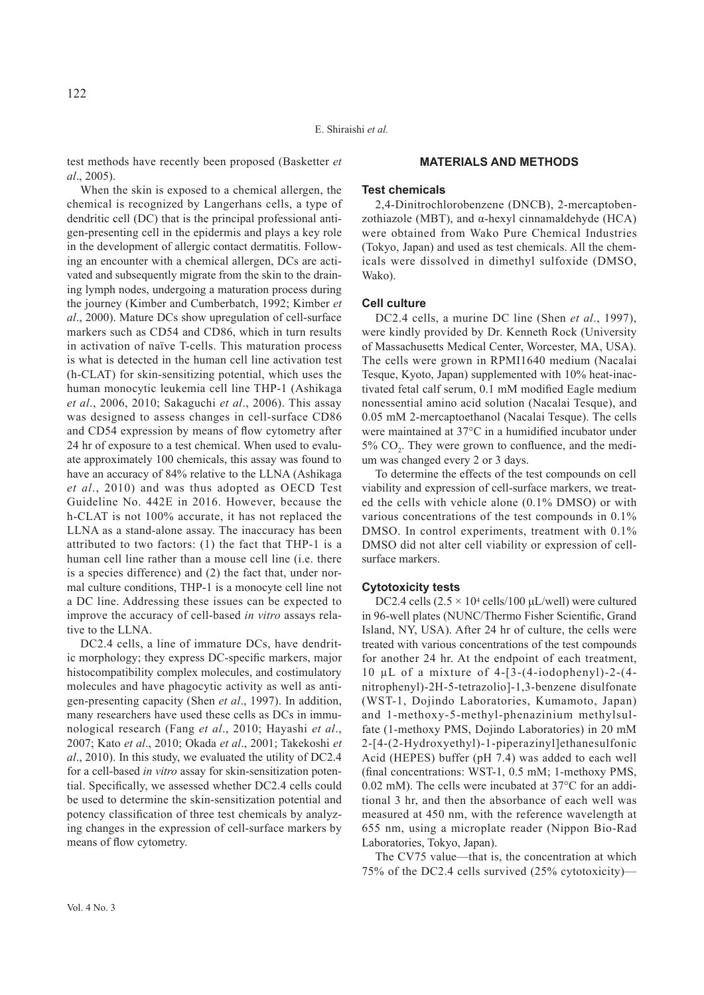E. Shiraishi *et al.*

test methods have recently been proposed (Basketter *et al*., 2005).

When the skin is exposed to a chemical allergen, the chemical is recognized by Langerhans cells, a type of dendritic cell (DC) that is the principal professional antigen-presenting cell in the epidermis and plays a key role in the development of allergic contact dermatitis. Following an encounter with a chemical allergen, DCs are activated and subsequently migrate from the skin to the draining lymph nodes, undergoing a maturation process during the journey (Kimber and Cumberbatch, 1992; Kimber *et al*., 2000). Mature DCs show upregulation of cell-surface markers such as CD54 and CD86, which in turn results in activation of naïve T-cells. This maturation process is what is detected in the human cell line activation test (h-CLAT) for skin-sensitizing potential, which uses the human monocytic leukemia cell line THP-1 (Ashikaga *et al*., 2006, 2010; Sakaguchi *et al*., 2006). This assay was designed to assess changes in cell-surface CD86 and CD54 expression by means of flow cytometry after 24 hr of exposure to a test chemical. When used to evaluate approximately 100 chemicals, this assay was found to have an accuracy of 84% relative to the LLNA (Ashikaga *et al*., 2010) and was thus adopted as OECD Test Guideline No. 442E in 2016. However, because the h-CLAT is not 100% accurate, it has not replaced the LLNA as a stand-alone assay. The inaccuracy has been attributed to two factors: (1) the fact that THP-1 is a human cell line rather than a mouse cell line (i.e. there is a species difference) and (2) the fact that, under normal culture conditions, THP-1 is a monocyte cell line not a DC line. Addressing these issues can be expected to improve the accuracy of cell-based *in vitro* assays relative to the LLNA.

DC2.4 cells, a line of immature DCs, have dendritic morphology; they express DC-specific markers, major histocompatibility complex molecules, and costimulatory molecules and have phagocytic activity as well as antigen-presenting capacity (Shen *et al*., 1997). In addition, many researchers have used these cells as DCs in immunological research (Fang *et al*., 2010; Hayashi *et al*., 2007; Kato *et al*., 2010; Okada *et al*., 2001; Takekoshi *et al*., 2010). In this study, we evaluated the utility of DC2.4 for a cell-based *in vitro* assay for skin-sensitization potential. Specifically, we assessed whether DC2.4 cells could be used to determine the skin-sensitization potential and potency classification of three test chemicals by analyzing changes in the expression of cell-surface markers by means of flow cytometry.

# **MATERIALS AND METHODS**

#### **Test chemicals**

2,4-Dinitrochlorobenzene (DNCB), 2-mercaptobenzothiazole (MBT), and α-hexyl cinnamaldehyde (HCA) were obtained from Wako Pure Chemical Industries (Tokyo, Japan) and used as test chemicals. All the chemicals were dissolved in dimethyl sulfoxide (DMSO, Wako).

## **Cell culture**

DC2.4 cells, a murine DC line (Shen *et al.*, 1997). were kindly provided by Dr. Kenneth Rock (University of Massachusetts Medical Center, Worcester, MA, USA). The cells were grown in RPMI1640 medium (Nacalai Tesque, Kyoto, Japan) supplemented with 10% heat-inactivated fetal calf serum, 0.1 mM modified Eagle medium nonessential amino acid solution (Nacalai Tesque), and 0.05 mM 2-mercaptoethanol (Nacalai Tesque). The cells were maintained at 37°C in a humidified incubator under 5% CO<sub>2</sub>. They were grown to confluence, and the medium was changed every 2 or 3 days.

To determine the effects of the test compounds on cell viability and expression of cell-surface markers, we treated the cells with vehicle alone (0.1% DMSO) or with various concentrations of the test compounds in 0.1% DMSO. In control experiments, treatment with  $0.1\%$ DMSO did not alter cell viability or expression of cellsurface markers.

# **Cytotoxicity tests**

DC2.4 cells  $(2.5 \times 10^4 \text{ cells}/100 \text{ µL/well})$  were cultured in 96-well plates (NUNC/Thermo Fisher Scientific, Grand Island, NY, USA). After 24 hr of culture, the cells were treated with various concentrations of the test compounds for another 24 hr. At the endpoint of each treatment, 10 μL of a mixture of 4-[3-(4-iodophenyl)-2-(4 nitrophenyl)-2H-5-tetrazolio]-1,3-benzene disulfonate (WST-1, Dojindo Laboratories, Kumamoto, Japan) and 1-methoxy-5-methyl-phenazinium methylsulfate (1-methoxy PMS, Dojindo Laboratories) in 20 mM 2-[4-(2-Hydroxyethyl)-1-piperazinyl]ethanesulfonic Acid (HEPES) buffer (pH 7.4) was added to each well (final concentrations: WST-1, 0.5 mM; 1-methoxy PMS, 0.02 mM). The cells were incubated at 37°C for an additional 3 hr, and then the absorbance of each well was measured at 450 nm, with the reference wavelength at 655 nm, using a microplate reader (Nippon Bio-Rad Laboratories, Tokyo, Japan).

The CV75 value—that is, the concentration at which 75% of the DC2.4 cells survived (25% cytotoxicity)—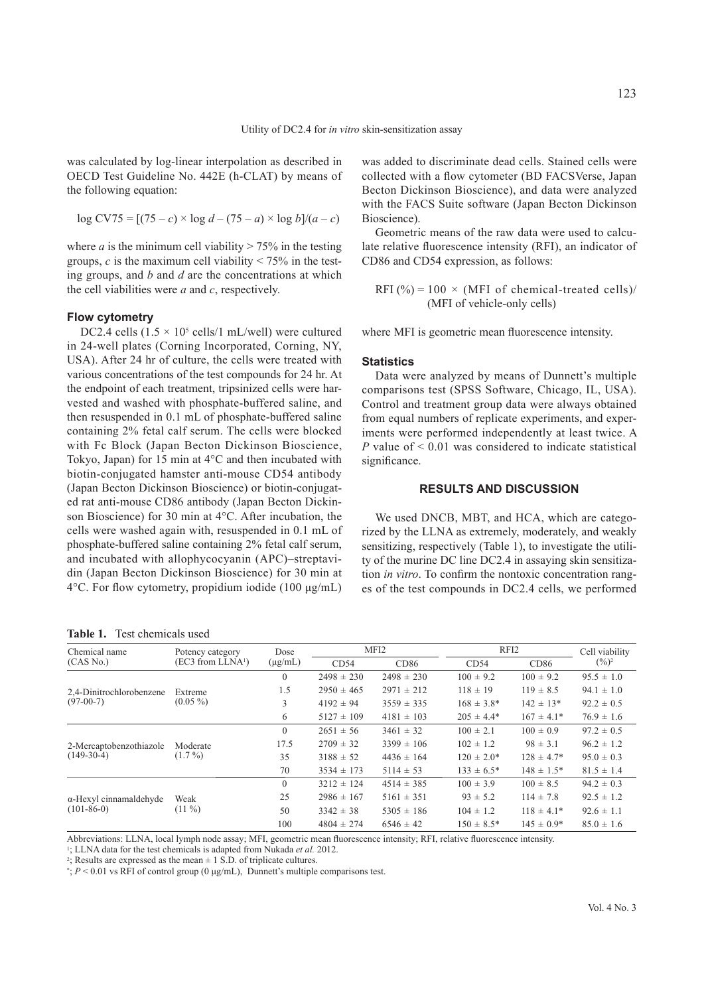was calculated by log-linear interpolation as described in OECD Test Guideline No. 442E (h-CLAT) by means of the following equation:

$$
\log CV75 = [(75 - c) \times \log d - (75 - a) \times \log b]/(a - c)
$$

where *a* is the minimum cell viability  $> 75\%$  in the testing groups,  $c$  is the maximum cell viability  $\leq 75\%$  in the testing groups, and *b* and *d* are the concentrations at which the cell viabilities were *a* and *c*, respectively.

#### **Flow cytometry**

DC2.4 cells  $(1.5 \times 10^5 \text{ cells}/1 \text{ mL/well})$  were cultured in 24-well plates (Corning Incorporated, Corning, NY, USA). After 24 hr of culture, the cells were treated with various concentrations of the test compounds for 24 hr. At the endpoint of each treatment, tripsinized cells were harvested and washed with phosphate-buffered saline, and then resuspended in 0.1 mL of phosphate-buffered saline containing 2% fetal calf serum. The cells were blocked with Fc Block (Japan Becton Dickinson Bioscience, Tokyo, Japan) for 15 min at 4°C and then incubated with biotin-conjugated hamster anti-mouse CD54 antibody (Japan Becton Dickinson Bioscience) or biotin-conjugated rat anti-mouse CD86 antibody (Japan Becton Dickinson Bioscience) for 30 min at 4°C. After incubation, the cells were washed again with, resuspended in 0.1 mL of phosphate-buffered saline containing 2% fetal calf serum, and incubated with allophycocyanin (APC)–streptavidin (Japan Becton Dickinson Bioscience) for 30 min at 4°C. For flow cytometry, propidium iodide (100 μg/mL)

**Table 1.** Test chemicals used

was added to discriminate dead cells. Stained cells were collected with a flow cytometer (BD FACSVerse, Japan Becton Dickinson Bioscience), and data were analyzed with the FACS Suite software (Japan Becton Dickinson Bioscience).

Geometric means of the raw data were used to calculate relative fluorescence intensity (RFI), an indicator of CD86 and CD54 expression, as follows:

$$
RFI (%) = 100 \times (MFI of chemical-treated cells) / (MFI of vehicle-only cells)
$$

where MFI is geometric mean fluorescence intensity.

#### **Statistics**

Data were analyzed by means of Dunnett's multiple comparisons test (SPSS Software, Chicago, IL, USA). Control and treatment group data were always obtained from equal numbers of replicate experiments, and experiments were performed independently at least twice. A *P* value of < 0.01 was considered to indicate statistical significance.

## **RESULTS AND DISCUSSION**

We used DNCB, MBT, and HCA, which are categorized by the LLNA as extremely, moderately, and weakly sensitizing, respectively (Table 1), to investigate the utility of the murine DC line DC2.4 in assaying skin sensitization *in vitro*. To confirm the nontoxic concentration ranges of the test compounds in DC2.4 cells, we performed

| Chemical name<br>(CAS No.)                     | Potency category<br>(EC3 from LLNA <sup>1</sup> ) | Dose<br>$(\mu g/mL)$ | MFI <sub>2</sub> |                | RFI2            |                 | Cell viability    |
|------------------------------------------------|---------------------------------------------------|----------------------|------------------|----------------|-----------------|-----------------|-------------------|
|                                                |                                                   |                      | CD54             | CD86           | CD54            | CD86            | $(\frac{9}{6})^2$ |
| 2,4-Dinitrochlorobenzene<br>$(97-00-7)$        | Extreme<br>$(0.05\%)$                             | $\Omega$             | $2498 \pm 230$   | $2498 \pm 230$ | $100 \pm 9.2$   | $100 \pm 9.2$   | $95.5 \pm 1.0$    |
|                                                |                                                   | 1.5                  | $2950 \pm 465$   | $2971 \pm 212$ | $118 \pm 19$    | $119 \pm 8.5$   | $94.1 \pm 1.0$    |
|                                                |                                                   | 3                    | $4192 \pm 94$    | $3559 \pm 335$ | $168 \pm 3.8^*$ | $142 \pm 13*$   | $92.2 \pm 0.5$    |
|                                                |                                                   | 6                    | $5127 \pm 109$   | $4181 \pm 103$ | $205 \pm 4.4*$  | $167 \pm 4.1*$  | $76.9 \pm 1.6$    |
| 2-Mercaptobenzothiazole<br>$(149-30-4)$        | Moderate<br>$(1.7\%)$                             | $\overline{0}$       | $2651 \pm 56$    | $3461 \pm 32$  | $100 \pm 2.1$   | $100 \pm 0.9$   | $97.2 \pm 0.5$    |
|                                                |                                                   | 17.5                 | $2709 \pm 32$    | $3399 \pm 106$ | $102 \pm 1.2$   | $98 \pm 3.1$    | $96.2 \pm 1.2$    |
|                                                |                                                   | 35                   | $3188 \pm 52$    | $4436 \pm 164$ | $120 \pm 2.0^*$ | $128 \pm 4.7*$  | $95.0 \pm 0.3$    |
|                                                |                                                   | 70                   | $3534 \pm 173$   | $5114 \pm 53$  | $133 \pm 6.5^*$ | $148 \pm 1.5^*$ | $81.5 \pm 1.4$    |
| $\alpha$ -Hexyl cinnamaldehyde<br>$(101-86-0)$ | Weak<br>$(11\%)$                                  | $\Omega$             | $3212 \pm 124$   | $4514 \pm 385$ | $100 \pm 3.9$   | $100 \pm 8.5$   | $94.2 \pm 0.3$    |
|                                                |                                                   | 25                   | $2986 \pm 167$   | $5161 \pm 351$ | $93 \pm 5.2$    | $114 \pm 7.8$   | $92.5 \pm 1.2$    |
|                                                |                                                   | 50                   | $3342 \pm 38$    | $5305 \pm 186$ | $104 \pm 1.2$   | $118 \pm 4.1*$  | $92.6 \pm 1.1$    |
|                                                |                                                   | 100                  | $4804 \pm 274$   | $6546 \pm 42$  | $150 \pm 8.5^*$ | $145 \pm 0.9^*$ | $85.0 \pm 1.6$    |

Abbreviations: LLNA, local lymph node assay; MFI, geometric mean fluorescence intensity; RFI, relative fluorescence intensity.

1; LLNA data for the test chemicals is adapted from Nukada *et al.* 2012.

<sup>2</sup>; Results are expressed as the mean  $\pm$  1 S.D. of triplicate cultures.

\*; *P* < 0.01 vs RFI of control group (0 μg/mL), Dunnett's multiple comparisons test.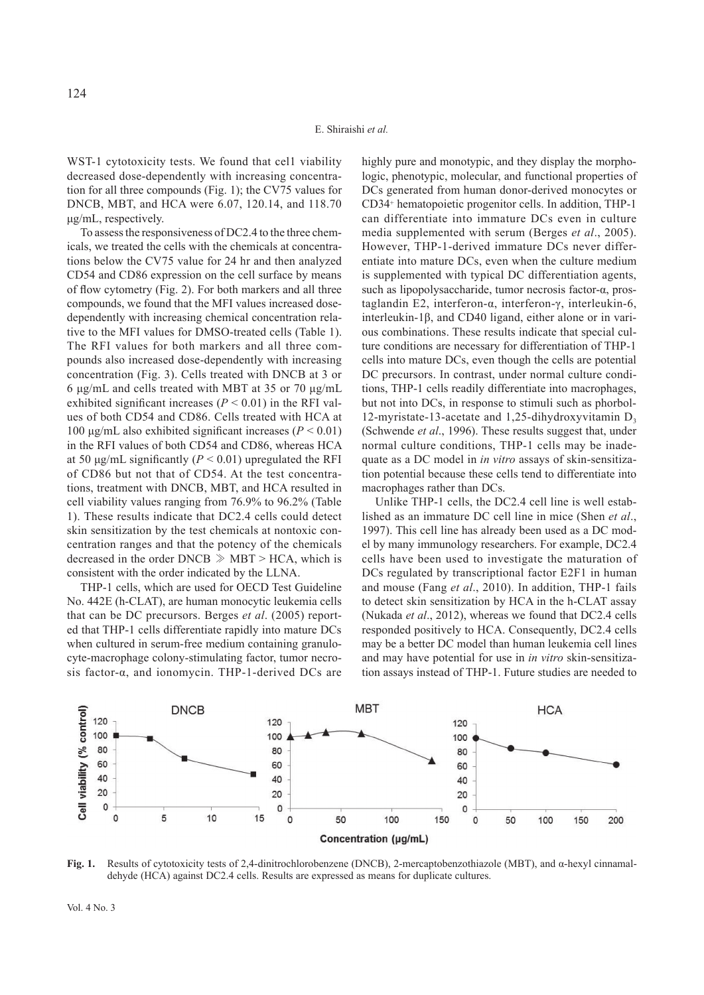WST-1 cytotoxicity tests. We found that cell viability decreased dose-dependently with increasing concentration for all three compounds (Fig. 1); the CV75 values for DNCB, MBT, and HCA were 6.07, 120.14, and 118.70 μg/mL, respectively.

To assess the responsiveness of DC2.4 to the three chemicals, we treated the cells with the chemicals at concentrations below the CV75 value for 24 hr and then analyzed CD54 and CD86 expression on the cell surface by means of flow cytometry (Fig. 2). For both markers and all three compounds, we found that the MFI values increased dosedependently with increasing chemical concentration relative to the MFI values for DMSO-treated cells (Table 1). The RFI values for both markers and all three compounds also increased dose-dependently with increasing concentration (Fig. 3). Cells treated with DNCB at 3 or 6 μg/mL and cells treated with MBT at 35 or 70 μg/mL exhibited significant increases ( $P < 0.01$ ) in the RFI values of both CD54 and CD86. Cells treated with HCA at 100 μg/mL also exhibited significant increases ( $P < 0.01$ ) in the RFI values of both CD54 and CD86, whereas HCA at 50  $\mu$ g/mL significantly (*P* < 0.01) upregulated the RFI of CD86 but not that of CD54. At the test concentrations, treatment with DNCB, MBT, and HCA resulted in cell viability values ranging from 76.9% to 96.2% (Table 1). These results indicate that DC2.4 cells could detect skin sensitization by the test chemicals at nontoxic concentration ranges and that the potency of the chemicals decreased in the order DNCB ≫ MBT > HCA, which is consistent with the order indicated by the LLNA.

THP-1 cells, which are used for OECD Test Guideline No. 442E (h-CLAT), are human monocytic leukemia cells that can be DC precursors. Berges *et al*. (2005) reported that THP-1 cells differentiate rapidly into mature DCs when cultured in serum-free medium containing granulocyte-macrophage colony-stimulating factor, tumor necrosis factor-α, and ionomycin. THP-1-derived DCs are

highly pure and monotypic, and they display the morphologic, phenotypic, molecular, and functional properties of DCs generated from human donor-derived monocytes or CD34+ hematopoietic progenitor cells. In addition, THP-1 can differentiate into immature DCs even in culture media supplemented with serum (Berges *et al*., 2005). However, THP-1-derived immature DCs never differentiate into mature DCs, even when the culture medium is supplemented with typical DC differentiation agents, such as lipopolysaccharide, tumor necrosis factor-α, prostaglandin E2, interferon-α, interferon-γ, interleukin-6, interleukin-1β, and CD40 ligand, either alone or in various combinations. These results indicate that special culture conditions are necessary for differentiation of THP-1 cells into mature DCs, even though the cells are potential DC precursors. In contrast, under normal culture conditions, THP-1 cells readily differentiate into macrophages, but not into DCs, in response to stimuli such as phorbol-12-myristate-13-acetate and 1,25-dihydroxyvitamin  $D_3$ (Schwende *et al*., 1996). These results suggest that, under normal culture conditions, THP-1 cells may be inadequate as a DC model in *in vitro* assays of skin-sensitization potential because these cells tend to differentiate into macrophages rather than DCs.

Unlike THP-1 cells, the DC2.4 cell line is well established as an immature DC cell line in mice (Shen *et al*., 1997). This cell line has already been used as a DC model by many immunology researchers. For example, DC2.4 cells have been used to investigate the maturation of DCs regulated by transcriptional factor E2F1 in human and mouse (Fang *et al*., 2010). In addition, THP-1 fails to detect skin sensitization by HCA in the h-CLAT assay (Nukada *et al*., 2012), whereas we found that DC2.4 cells responded positively to HCA. Consequently, DC2.4 cells may be a better DC model than human leukemia cell lines and may have potential for use in *in vitro* skin-sensitization assays instead of THP-1. Future studies are needed to



**Fig. 1.** Results of cytotoxicity tests of 2,4-dinitrochlorobenzene (DNCB), 2-mercaptobenzothiazole (MBT), and α-hexyl cinnamaldehyde (HCA) against DC2.4 cells. Results are expressed as means for duplicate cultures.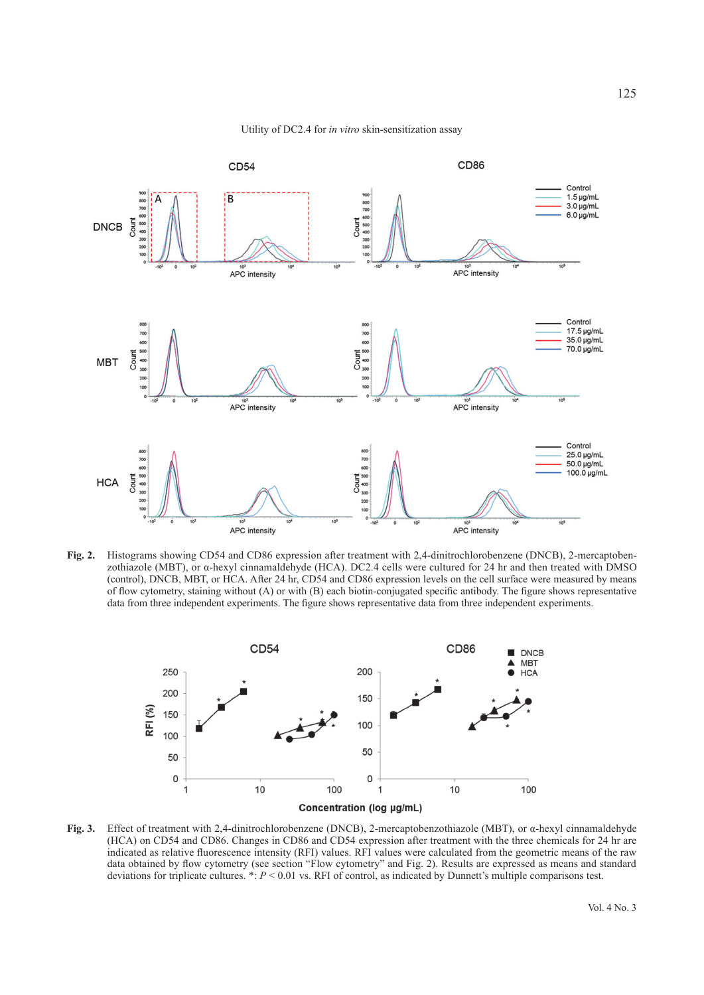

Utility of DC2.4 for *in vitro* skin-sensitization assay

**Fig. 2.** Histograms showing CD54 and CD86 expression after treatment with 2,4-dinitrochlorobenzene (DNCB), 2-mercaptobenzothiazole (MBT), or α-hexyl cinnamaldehyde (HCA). DC2.4 cells were cultured for 24 hr and then treated with DMSO (control), DNCB, MBT, or HCA. After 24 hr, CD54 and CD86 expression levels on the cell surface were measured by means of flow cytometry, staining without (A) or with (B) each biotin-conjugated specific antibody. The figure shows representative data from three independent experiments. The figure shows representative data from three independent experiments.



**Fig. 3.** Effect of treatment with 2,4-dinitrochlorobenzene (DNCB), 2-mercaptobenzothiazole (MBT), or α-hexyl cinnamaldehyde (HCA) on CD54 and CD86. Changes in CD86 and CD54 expression after treatment with the three chemicals for 24 hr are indicated as relative fluorescence intensity (RFI) values. RFI values were calculated from the geometric means of the raw data obtained by flow cytometry (see section "Flow cytometry" and Fig. 2). Results are expressed as means and standard deviations for triplicate cultures.  $* : P < 0.01$  vs. RFI of control, as indicated by Dunnett's multiple comparisons test.